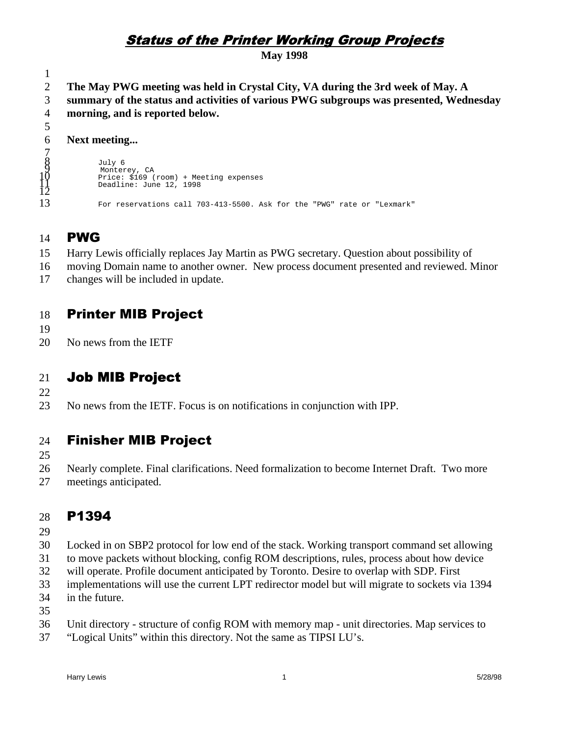# **Status of the Printer Working Group Projects**

**May 1998**

1 2 3 **The May PWG meeting was held in Crystal City, VA during the 3rd week of May. A summary of the status and activities of various PWG subgroups was presented, Wednesday**

4 **morning, and is reported below.**

# **Next meeting...**

 July 6 Monterey, CA Price: \$169 (room) + Meeting expenses Deadline: June 12, 1998 For reservations call 703-413-5500. Ask for the "PWG" rate or "Lexmark"

### 14 **PWG**

15 Harry Lewis officially replaces Jay Martin as PWG secretary. Question about possibility of

- 16 moving Domain name to another owner. New process document presented and reviewed. Minor
- 17 changes will be included in update.

### 18 **Printer MIB Project**

19

5 6  $\overline{a}$ 8 ğ 10<br>12 13

20 No news from the IETF

## 21 Job MIB Project

22

23 No news from the IETF. Focus is on notifications in conjunction with IPP.

## 24 **Finisher MIB Project**

- 25
- 26 Nearly complete. Final clarifications. Need formalization to become Internet Draft. Two more
- 27 meetings anticipated.

### 28 P1394

- 29
- 30 Locked in on SBP2 protocol for low end of the stack. Working transport command set allowing
- 31 to move packets without blocking, config ROM descriptions, rules, process about how device
- 32 will operate. Profile document anticipated by Toronto. Desire to overlap with SDP. First
- 33 implementations will use the current LPT redirector model but will migrate to sockets via 1394
- 34 in the future.

35

- 36 Unit directory - structure of config ROM with memory map - unit directories. Map services to
- 37 "Logical Units" within this directory. Not the same as TIPSI LU's.